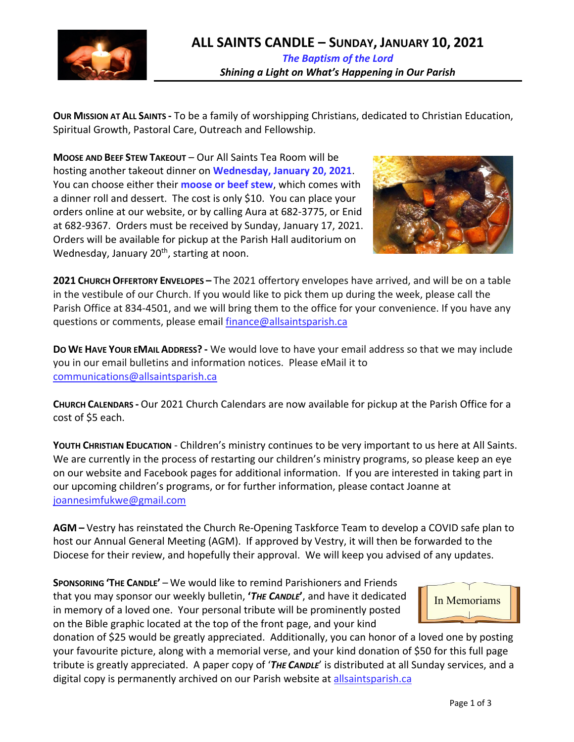

**OUR MISSION AT ALL SAINTS -** To be a family of worshipping Christians, dedicated to Christian Education, Spiritual Growth, Pastoral Care, Outreach and Fellowship.

**MOOSE AND BEEF STEW TAKEOUT** – Our All Saints Tea Room will be hosting another takeout dinner on **Wednesday, January 20, 2021**. You can choose either their **moose or beef stew**, which comes with a dinner roll and dessert. The cost is only \$10. You can place your orders online at our website, or by calling Aura at 682-3775, or Enid at 682-9367. Orders must be received by Sunday, January 17, 2021. Orders will be available for pickup at the Parish Hall auditorium on Wednesday, January 20<sup>th</sup>, starting at noon.



**2021 CHURCH OFFERTORY ENVELOPES –** The 2021 offertory envelopes have arrived, and will be on a table in the vestibule of our Church. If you would like to pick them up during the week, please call the Parish Office at 834-4501, and we will bring them to the office for your convenience. If you have any questions or comments, please email finance@allsaintsparish.ca

**DO WE HAVE YOUR EMAIL ADDRESS? -** We would love to have your email address so that we may include you in our email bulletins and information notices. Please eMail it to communications@allsaintsparish.ca

**CHURCH CALENDARS -** Our 2021 Church Calendars are now available for pickup at the Parish Office for a cost of \$5 each.

**YOUTH CHRISTIAN EDUCATION** - Children's ministry continues to be very important to us here at All Saints. We are currently in the process of restarting our children's ministry programs, so please keep an eye on our website and Facebook pages for additional information. If you are interested in taking part in our upcoming children's programs, or for further information, please contact Joanne at joannesimfukwe@gmail.com

**AGM –** Vestry has reinstated the Church Re-Opening Taskforce Team to develop a COVID safe plan to host our Annual General Meeting (AGM). If approved by Vestry, it will then be forwarded to the Diocese for their review, and hopefully their approval. We will keep you advised of any updates.

**SPONSORING 'THE CANDLE'** – We would like to remind Parishioners and Friends that you may sponsor our weekly bulletin, **'***THE CANDLE***'**, and have it dedicated in memory of a loved one. Your personal tribute will be prominently posted on the Bible graphic located at the top of the front page, and your kind

donation of \$25 would be greatly appreciated. Additionally, you can honor of a loved one by posting your favourite picture, along with a memorial verse, and your kind donation of \$50 for this full page tribute is greatly appreciated. A paper copy of '*THE CANDLE*' is distributed at all Sunday services, and a digital copy is permanently archived on our Parish website at allsaintsparish.ca

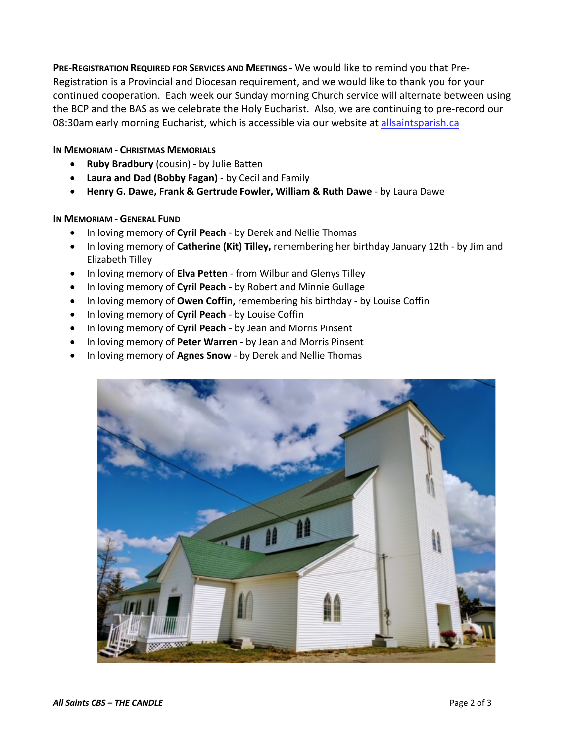**PRE-REGISTRATION REQUIRED FOR SERVICES AND MEETINGS -** We would like to remind you that Pre-Registration is a Provincial and Diocesan requirement, and we would like to thank you for your continued cooperation. Each week our Sunday morning Church service will alternate between using the BCP and the BAS as we celebrate the Holy Eucharist. Also, we are continuing to pre-record our 08:30am early morning Eucharist, which is accessible via our website at allsaintsparish.ca

## **IN MEMORIAM - CHRISTMAS MEMORIALS**

- **Ruby Bradbury** (cousin) by Julie Batten
- **Laura and Dad (Bobby Fagan)** by Cecil and Family
- **Henry G. Dawe, Frank & Gertrude Fowler, William & Ruth Dawe** by Laura Dawe

### **IN MEMORIAM - GENERAL FUND**

- In loving memory of **Cyril Peach** by Derek and Nellie Thomas
- In loving memory of **Catherine (Kit) Tilley,** remembering her birthday January 12th by Jim and Elizabeth Tilley
- In loving memory of **Elva Petten** from Wilbur and Glenys Tilley
- In loving memory of **Cyril Peach** by Robert and Minnie Gullage
- In loving memory of **Owen Coffin,** remembering his birthday by Louise Coffin
- In loving memory of **Cyril Peach** by Louise Coffin
- In loving memory of **Cyril Peach** by Jean and Morris Pinsent
- In loving memory of **Peter Warren** by Jean and Morris Pinsent
- In loving memory of **Agnes Snow** by Derek and Nellie Thomas